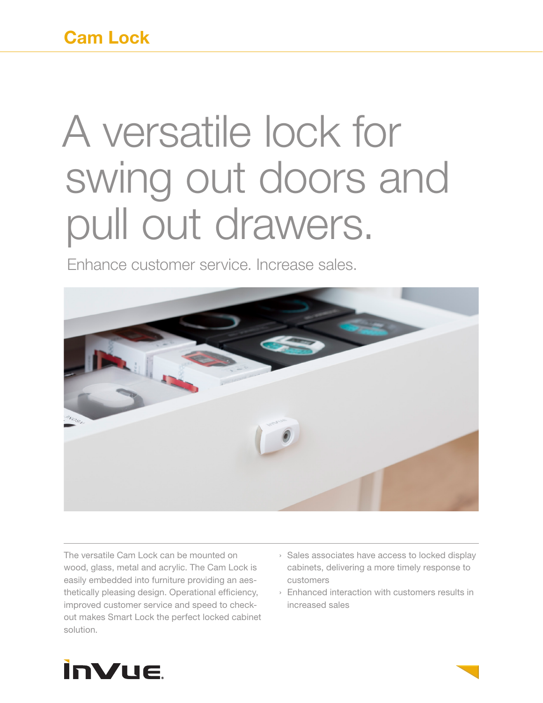# A versatile lock for swing out doors and pull out drawers.

Enhance customer service. Increase sales.



The versatile Cam Lock can be mounted on wood, glass, metal and acrylic. The Cam Lock is easily embedded into furniture providing an aesthetically pleasing design. Operational efficiency, improved customer service and speed to checkout makes Smart Lock the perfect locked cabinet solution.

- › Sales associates have access to locked display cabinets, delivering a more timely response to customers
- › Enhanced interaction with customers results in increased sales

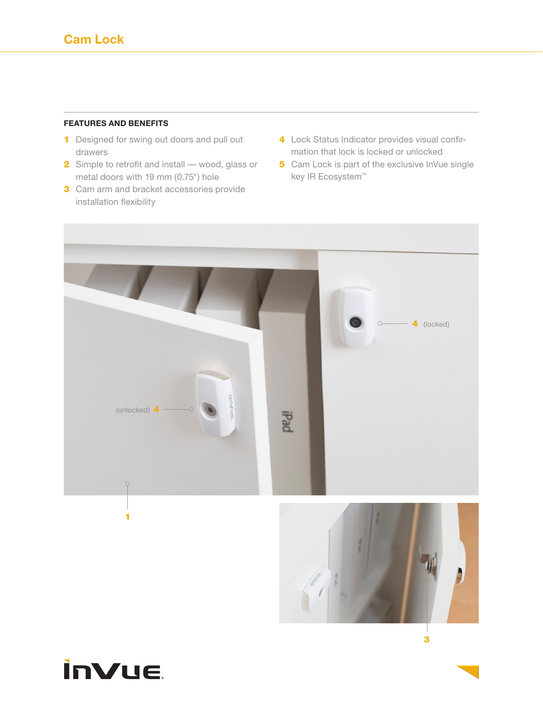## **FEATURES AND BENEFITS**

- **1** Designed for swing out doors and pull out drawers
- 2 Simple to retrofit and install wood, glass or metal doors with 19 mm (0.75") hole
- **3** Cam arm and bracket accessories provide installation flexibility
- 4 Lock Status Indicator provides visual confirmation that lock is locked or unlocked
- 5 Cam Lock is part of the exclusive InVue single key IR Ecosystem<sup>™</sup>







3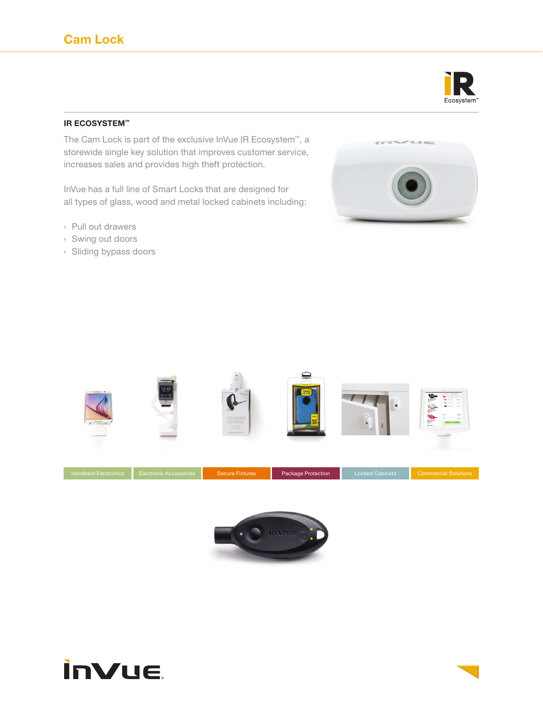

## **IR ECOSYSTEM™**

The Cam Lock is part of the exclusive InVue IR Ecosystem™, a storewide single key solution that improves customer service, increases sales and provides high theft protection.

InVue has a full line of Smart Locks that are designed for all types of glass, wood and metal locked cabinets including:

- › Pull out drawers
- › Swing out doors
- › Sliding bypass doors







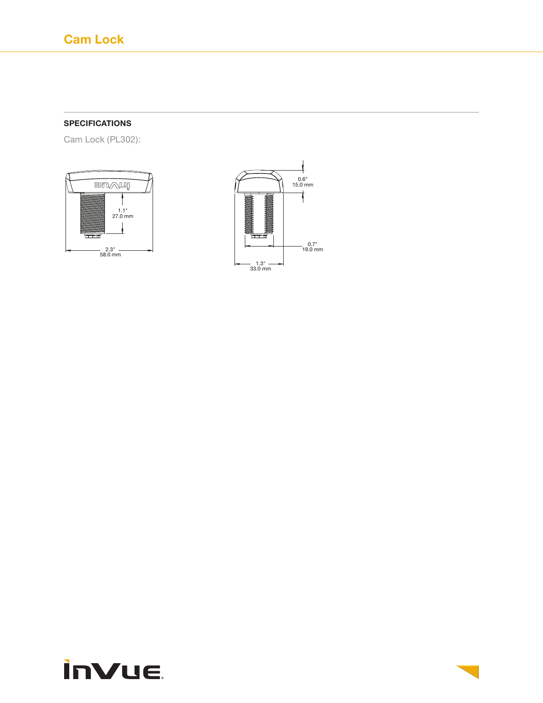# **SPECIFICATIONS**

Cam Lock (PL302):